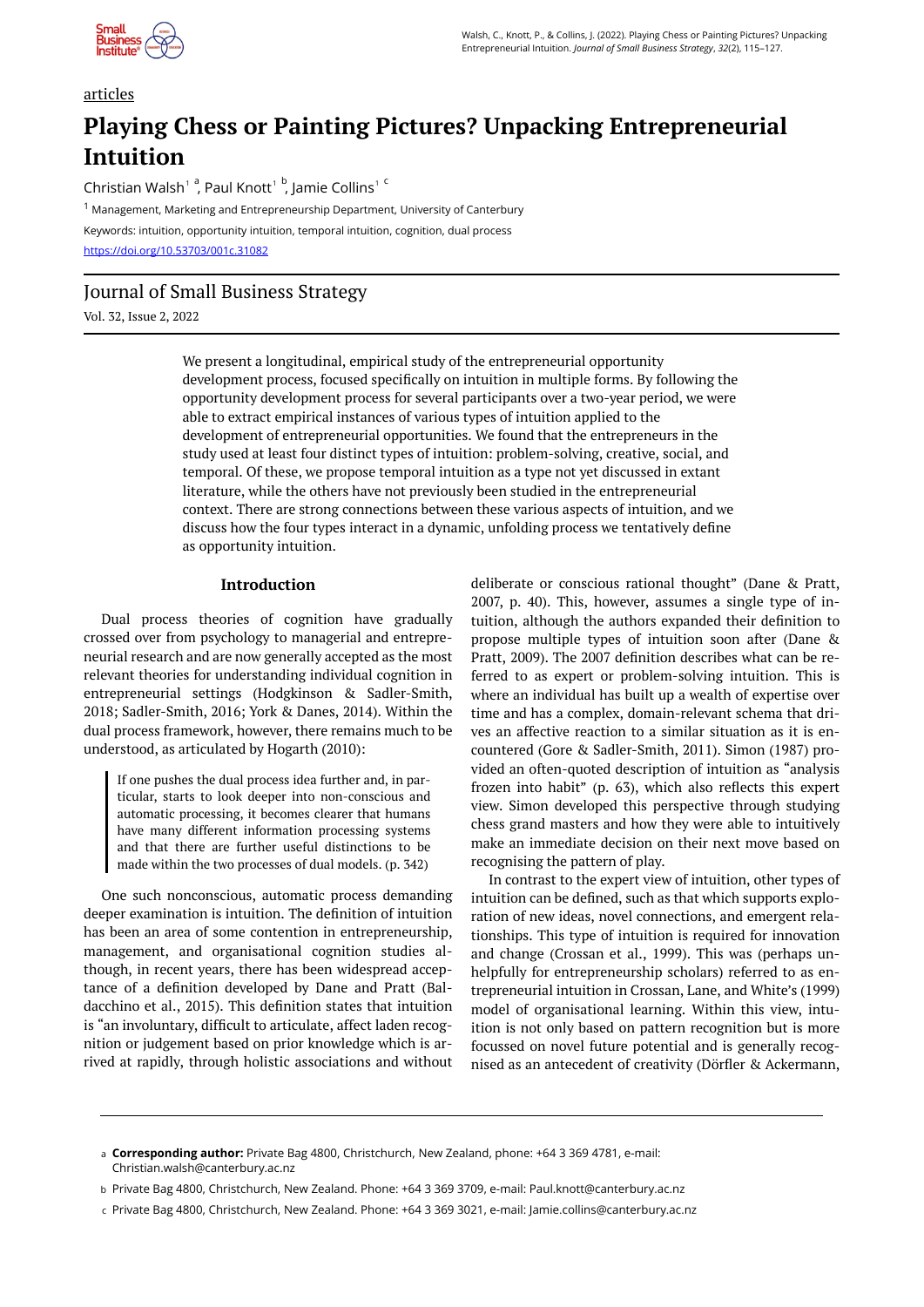

# articles

# **Playing Chess or Painting Pictures? Unpacking Entrepreneurial Intuition**

Christian Walsh<sup>1</sup><sup>a</sup>, Paul Knott<sup>1</sup><sup>b</sup>, Jamie Collins<sup>1</sup><sup>c</sup>

<sup>1</sup> Management, Marketing and Entrepreneurship Department, University of Canterbury Keywords: intuition, opportunity intuition, temporal intuition, cognition, dual process <https://doi.org/10.53703/001c.31082>

# Journal of Small Business Strategy

Vol. 32, Issue 2, 2022

We present a longitudinal, empirical study of the entrepreneurial opportunity development process, focused specifically on intuition in multiple forms. By following the opportunity development process for several participants over a two-year period, we were able to extract empirical instances of various types of intuition applied to the development of entrepreneurial opportunities. We found that the entrepreneurs in the study used at least four distinct types of intuition: problem-solving, creative, social, and temporal. Of these, we propose temporal intuition as a type not yet discussed in extant literature, while the others have not previously been studied in the entrepreneurial context. There are strong connections between these various aspects of intuition, and we discuss how the four types interact in a dynamic, unfolding process we tentatively define as opportunity intuition.

# **Introduction**

Dual process theories of cognition have gradually crossed over from psychology to managerial and entrepreneurial research and are now generally accepted as the most relevant theories for understanding individual cognition in entrepreneurial settings (Hodgkinson & Sadler-Smith, 2018; Sadler-Smith, 2016; York & Danes, 2014). Within the dual process framework, however, there remains much to be understood, as articulated by Hogarth (2010):

If one pushes the dual process idea further and, in particular, starts to look deeper into non-conscious and automatic processing, it becomes clearer that humans have many different information processing systems and that there are further useful distinctions to be made within the two processes of dual models. (p. 342)

One such nonconscious, automatic process demanding deeper examination is intuition. The definition of intuition has been an area of some contention in entrepreneurship, management, and organisational cognition studies although, in recent years, there has been widespread acceptance of a definition developed by Dane and Pratt (Baldacchino et al., 2015). This definition states that intuition is "an involuntary, difficult to articulate, affect laden recognition or judgement based on prior knowledge which is arrived at rapidly, through holistic associations and without deliberate or conscious rational thought" (Dane & Pratt, 2007, p. 40). This, however, assumes a single type of intuition, although the authors expanded their definition to propose multiple types of intuition soon after (Dane & Pratt, 2009). The 2007 definition describes what can be referred to as expert or problem-solving intuition. This is where an individual has built up a wealth of expertise over time and has a complex, domain-relevant schema that drives an affective reaction to a similar situation as it is encountered (Gore & Sadler-Smith, 2011). Simon (1987) provided an often-quoted description of intuition as "analysis frozen into habit" (p. 63), which also reflects this expert view. Simon developed this perspective through studying chess grand masters and how they were able to intuitively make an immediate decision on their next move based on recognising the pattern of play.

In contrast to the expert view of intuition, other types of intuition can be defined, such as that which supports exploration of new ideas, novel connections, and emergent relationships. This type of intuition is required for innovation and change (Crossan et al., 1999). This was (perhaps unhelpfully for entrepreneurship scholars) referred to as entrepreneurial intuition in Crossan, Lane, and White's (1999) model of organisational learning. Within this view, intuition is not only based on pattern recognition but is more focussed on novel future potential and is generally recognised as an antecedent of creativity (Dörfler & Ackermann,

- Private Bag 4800, Christchurch, New Zealand. Phone: +64 3 369 3709, e-mail: Paul.knott@canterbury.ac.nz b
- Private Bag 4800, Christchurch, New Zealand. Phone: +64 3 369 3021, e-mail: Jamie.collins@canterbury.ac.nz c

**Corresponding author:** Private Bag 4800, Christchurch, New Zealand, phone: +64 3 369 4781, e-mail: a Christian.walsh@canterbury.ac.nz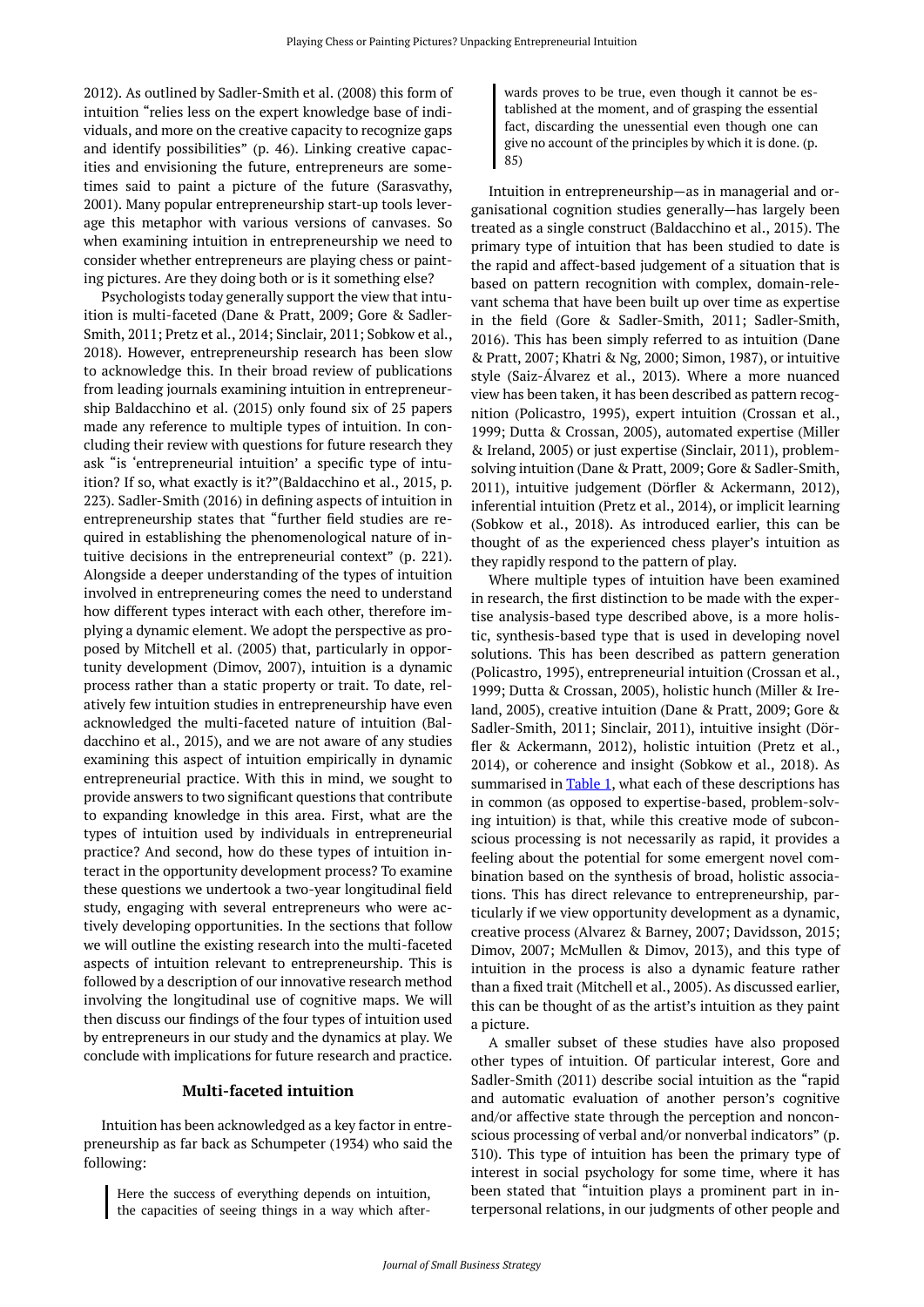2012). As outlined by Sadler-Smith et al. (2008) this form of intuition "relies less on the expert knowledge base of individuals, and more on the creative capacity to recognize gaps and identify possibilities" (p. 46). Linking creative capacities and envisioning the future, entrepreneurs are sometimes said to paint a picture of the future (Sarasvathy, 2001). Many popular entrepreneurship start-up tools leverage this metaphor with various versions of canvases. So when examining intuition in entrepreneurship we need to consider whether entrepreneurs are playing chess or painting pictures. Are they doing both or is it something else?

Psychologists today generally support the view that intuition is multi-faceted (Dane & Pratt, 2009; Gore & Sadler-Smith, 2011; Pretz et al., 2014; Sinclair, 2011; Sobkow et al., 2018). However, entrepreneurship research has been slow to acknowledge this. In their broad review of publications from leading journals examining intuition in entrepreneurship Baldacchino et al. (2015) only found six of 25 papers made any reference to multiple types of intuition. In concluding their review with questions for future research they ask "is 'entrepreneurial intuition' a specific type of intuition? If so, what exactly is it?"(Baldacchino et al., 2015, p. 223). Sadler-Smith (2016) in defining aspects of intuition in entrepreneurship states that "further field studies are required in establishing the phenomenological nature of intuitive decisions in the entrepreneurial context" (p. 221). Alongside a deeper understanding of the types of intuition involved in entrepreneuring comes the need to understand how different types interact with each other, therefore implying a dynamic element. We adopt the perspective as proposed by Mitchell et al. (2005) that, particularly in opportunity development (Dimov, 2007), intuition is a dynamic process rather than a static property or trait. To date, relatively few intuition studies in entrepreneurship have even acknowledged the multi-faceted nature of intuition (Baldacchino et al., 2015), and we are not aware of any studies examining this aspect of intuition empirically in dynamic entrepreneurial practice. With this in mind, we sought to provide answers to two significant questions that contribute to expanding knowledge in this area. First, what are the types of intuition used by individuals in entrepreneurial practice? And second, how do these types of intuition interact in the opportunity development process? To examine these questions we undertook a two-year longitudinal field study, engaging with several entrepreneurs who were actively developing opportunities. In the sections that follow we will outline the existing research into the multi-faceted aspects of intuition relevant to entrepreneurship. This is followed by a description of our innovative research method involving the longitudinal use of cognitive maps. We will then discuss our findings of the four types of intuition used by entrepreneurs in our study and the dynamics at play. We conclude with implications for future research and practice.

#### **Multi-faceted intuition**

Intuition has been acknowledged as a key factor in entrepreneurship as far back as Schumpeter (1934) who said the following:

Here the success of everything depends on intuition, the capacities of seeing things in a way which after-

wards proves to be true, even though it cannot be established at the moment, and of grasping the essential fact, discarding the unessential even though one can give no account of the principles by which it is done. (p. 85)

Intuition in entrepreneurship—as in managerial and organisational cognition studies generally—has largely been treated as a single construct (Baldacchino et al., 2015). The primary type of intuition that has been studied to date is the rapid and affect-based judgement of a situation that is based on pattern recognition with complex, domain-relevant schema that have been built up over time as expertise in the field (Gore & Sadler-Smith, 2011; Sadler-Smith, 2016). This has been simply referred to as intuition (Dane & Pratt, 2007; Khatri & Ng, 2000; Simon, 1987), or intuitive style (Saiz-Álvarez et al., 2013). Where a more nuanced view has been taken, it has been described as pattern recognition (Policastro, 1995), expert intuition (Crossan et al., 1999; Dutta & Crossan, 2005), automated expertise (Miller & Ireland, 2005) or just expertise (Sinclair, 2011), problemsolving intuition (Dane & Pratt, 2009; Gore & Sadler-Smith, 2011), intuitive judgement (Dörfler & Ackermann, 2012), inferential intuition (Pretz et al., 2014), or implicit learning (Sobkow et al., 2018). As introduced earlier, this can be thought of as the experienced chess player's intuition as they rapidly respond to the pattern of play.

Where multiple types of intuition have been examined in research, the first distinction to be made with the expertise analysis-based type described above, is a more holistic, synthesis-based type that is used in developing novel solutions. This has been described as pattern generation (Policastro, 1995), entrepreneurial intuition (Crossan et al., 1999; Dutta & Crossan, 2005), holistic hunch (Miller & Ireland, 2005), creative intuition (Dane & Pratt, 2009; Gore & Sadler-Smith, 2011; Sinclair, 2011), intuitive insight (Dörfler & Ackermann, 2012), holistic intuition (Pretz et al., 2014), or coherence and insight (Sobkow et al., 2018). As summarised in [Table 1](#page-2-0), what each of these descriptions has in common (as opposed to expertise-based, problem-solving intuition) is that, while this creative mode of subconscious processing is not necessarily as rapid, it provides a feeling about the potential for some emergent novel combination based on the synthesis of broad, holistic associations. This has direct relevance to entrepreneurship, particularly if we view opportunity development as a dynamic, creative process (Alvarez & Barney, 2007; Davidsson, 2015; Dimov, 2007; McMullen & Dimov, 2013), and this type of intuition in the process is also a dynamic feature rather than a fixed trait (Mitchell et al., 2005). As discussed earlier, this can be thought of as the artist's intuition as they paint a picture.

A smaller subset of these studies have also proposed other types of intuition. Of particular interest, Gore and Sadler-Smith (2011) describe social intuition as the "rapid and automatic evaluation of another person's cognitive and/or affective state through the perception and nonconscious processing of verbal and/or nonverbal indicators" (p. 310). This type of intuition has been the primary type of interest in social psychology for some time, where it has been stated that "intuition plays a prominent part in interpersonal relations, in our judgments of other people and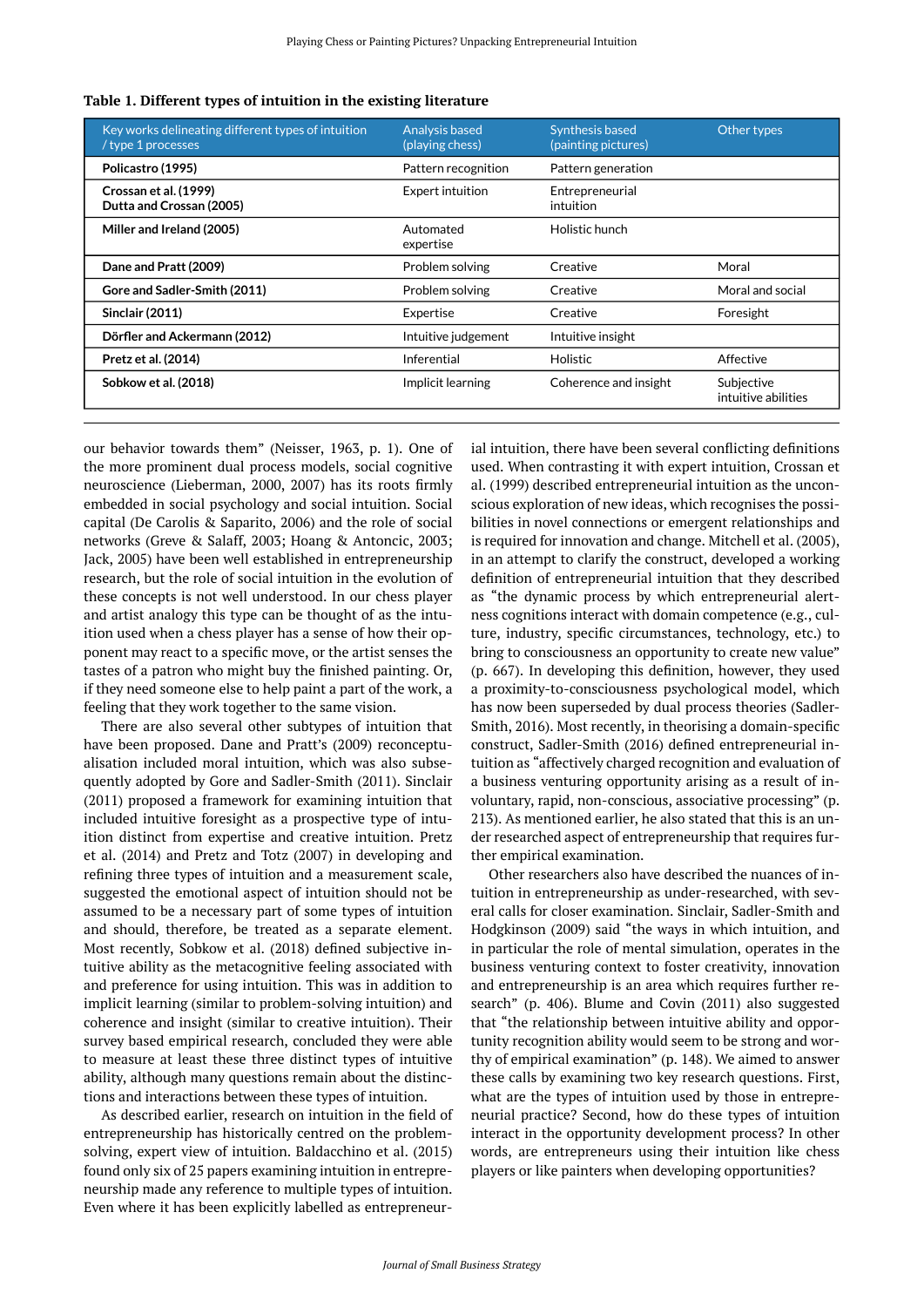| Key works delineating different types of intuition<br>/ type 1 processes | Analysis based<br>(playing chess) | Synthesis based<br>(painting pictures) | Other types                       |
|--------------------------------------------------------------------------|-----------------------------------|----------------------------------------|-----------------------------------|
| Policastro (1995)                                                        | Pattern recognition               | Pattern generation                     |                                   |
| Crossan et al. (1999)<br>Dutta and Crossan (2005)                        | <b>Expert intuition</b>           | Entrepreneurial<br>intuition           |                                   |
| Miller and Ireland (2005)                                                | Automated<br>expertise            | Holistic hunch                         |                                   |
| Dane and Pratt (2009)                                                    | Problem solving                   | Creative                               | Moral                             |
| Gore and Sadler-Smith (2011)                                             | Problem solving                   | Creative                               | Moral and social                  |
| <b>Sinclair (2011)</b>                                                   | Expertise                         | Creative                               | Foresight                         |
| Dörfler and Ackermann (2012)                                             | Intuitive judgement               | Intuitive insight                      |                                   |
| Pretz et al. (2014)                                                      | Inferential                       | <b>Holistic</b>                        | Affective                         |
| Sobkow et al. (2018)                                                     | Implicit learning                 | Coherence and insight                  | Subjective<br>intuitive abilities |

<span id="page-2-0"></span>**Table 1. Different types of intuition in the existing literature** 

our behavior towards them" (Neisser, 1963, p. 1). One of the more prominent dual process models, social cognitive neuroscience (Lieberman, 2000, 2007) has its roots firmly embedded in social psychology and social intuition. Social capital (De Carolis & Saparito, 2006) and the role of social networks (Greve & Salaff, 2003; Hoang & Antoncic, 2003; Jack, 2005) have been well established in entrepreneurship research, but the role of social intuition in the evolution of these concepts is not well understood. In our chess player and artist analogy this type can be thought of as the intuition used when a chess player has a sense of how their opponent may react to a specific move, or the artist senses the tastes of a patron who might buy the finished painting. Or, if they need someone else to help paint a part of the work, a feeling that they work together to the same vision.

There are also several other subtypes of intuition that have been proposed. Dane and Pratt's (2009) reconceptualisation included moral intuition, which was also subsequently adopted by Gore and Sadler-Smith (2011). Sinclair (2011) proposed a framework for examining intuition that included intuitive foresight as a prospective type of intuition distinct from expertise and creative intuition. Pretz et al. (2014) and Pretz and Totz (2007) in developing and refining three types of intuition and a measurement scale, suggested the emotional aspect of intuition should not be assumed to be a necessary part of some types of intuition and should, therefore, be treated as a separate element. Most recently, Sobkow et al. (2018) defined subjective intuitive ability as the metacognitive feeling associated with and preference for using intuition. This was in addition to implicit learning (similar to problem-solving intuition) and coherence and insight (similar to creative intuition). Their survey based empirical research, concluded they were able to measure at least these three distinct types of intuitive ability, although many questions remain about the distinctions and interactions between these types of intuition.

As described earlier, research on intuition in the field of entrepreneurship has historically centred on the problemsolving, expert view of intuition. Baldacchino et al. (2015) found only six of 25 papers examining intuition in entrepreneurship made any reference to multiple types of intuition. Even where it has been explicitly labelled as entrepreneurial intuition, there have been several conflicting definitions used. When contrasting it with expert intuition, Crossan et al. (1999) described entrepreneurial intuition as the unconscious exploration of new ideas, which recognises the possibilities in novel connections or emergent relationships and is required for innovation and change. Mitchell et al. (2005), in an attempt to clarify the construct, developed a working definition of entrepreneurial intuition that they described as "the dynamic process by which entrepreneurial alertness cognitions interact with domain competence (e.g., culture, industry, specific circumstances, technology, etc.) to bring to consciousness an opportunity to create new value" (p. 667). In developing this definition, however, they used a proximity-to-consciousness psychological model, which has now been superseded by dual process theories (Sadler-Smith, 2016). Most recently, in theorising a domain-specific construct, Sadler-Smith (2016) defined entrepreneurial intuition as "affectively charged recognition and evaluation of a business venturing opportunity arising as a result of involuntary, rapid, non-conscious, associative processing" (p. 213). As mentioned earlier, he also stated that this is an under researched aspect of entrepreneurship that requires further empirical examination.

Other researchers also have described the nuances of intuition in entrepreneurship as under-researched, with several calls for closer examination. Sinclair, Sadler-Smith and Hodgkinson (2009) said "the ways in which intuition, and in particular the role of mental simulation, operates in the business venturing context to foster creativity, innovation and entrepreneurship is an area which requires further research" (p. 406). Blume and Covin (2011) also suggested that "the relationship between intuitive ability and opportunity recognition ability would seem to be strong and worthy of empirical examination" (p. 148). We aimed to answer these calls by examining two key research questions. First, what are the types of intuition used by those in entrepreneurial practice? Second, how do these types of intuition interact in the opportunity development process? In other words, are entrepreneurs using their intuition like chess players or like painters when developing opportunities?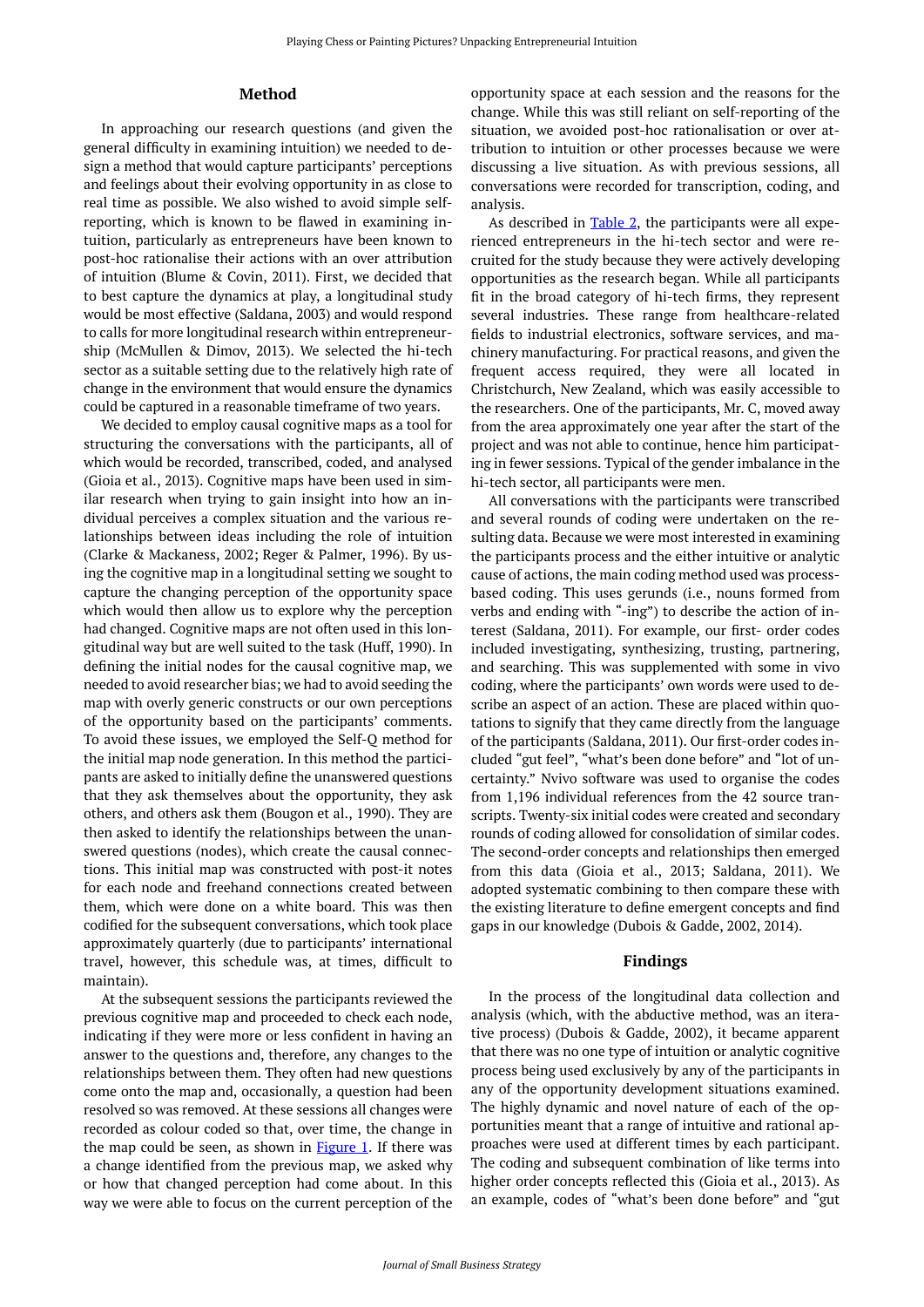# **Method**

In approaching our research questions (and given the general difficulty in examining intuition) we needed to design a method that would capture participants' perceptions and feelings about their evolving opportunity in as close to real time as possible. We also wished to avoid simple selfreporting, which is known to be flawed in examining intuition, particularly as entrepreneurs have been known to post-hoc rationalise their actions with an over attribution of intuition (Blume & Covin, 2011). First, we decided that to best capture the dynamics at play, a longitudinal study would be most effective (Saldana, 2003) and would respond to calls for more longitudinal research within entrepreneurship (McMullen & Dimov, 2013). We selected the hi-tech sector as a suitable setting due to the relatively high rate of change in the environment that would ensure the dynamics could be captured in a reasonable timeframe of two years.

We decided to employ causal cognitive maps as a tool for structuring the conversations with the participants, all of which would be recorded, transcribed, coded, and analysed (Gioia et al., 2013). Cognitive maps have been used in similar research when trying to gain insight into how an individual perceives a complex situation and the various relationships between ideas including the role of intuition (Clarke & Mackaness, 2002; Reger & Palmer, 1996). By using the cognitive map in a longitudinal setting we sought to capture the changing perception of the opportunity space which would then allow us to explore why the perception had changed. Cognitive maps are not often used in this longitudinal way but are well suited to the task (Huff, 1990). In defining the initial nodes for the causal cognitive map, we needed to avoid researcher bias; we had to avoid seeding the map with overly generic constructs or our own perceptions of the opportunity based on the participants' comments. To avoid these issues, we employed the Self-Q method for the initial map node generation. In this method the participants are asked to initially define the unanswered questions that they ask themselves about the opportunity, they ask others, and others ask them (Bougon et al., 1990). They are then asked to identify the relationships between the unanswered questions (nodes), which create the causal connections. This initial map was constructed with post-it notes for each node and freehand connections created between them, which were done on a white board. This was then codified for the subsequent conversations, which took place approximately quarterly (due to participants' international travel, however, this schedule was, at times, difficult to maintain).

At the subsequent sessions the participants reviewed the previous cognitive map and proceeded to check each node, indicating if they were more or less confident in having an answer to the questions and, therefore, any changes to the relationships between them. They often had new questions come onto the map and, occasionally, a question had been resolved so was removed. At these sessions all changes were recorded as colour coded so that, over time, the change in the map could be seen, as shown in  $Figure 1$ . If there was a change identified from the previous map, we asked why or how that changed perception had come about. In this way we were able to focus on the current perception of the

opportunity space at each session and the reasons for the change. While this was still reliant on self-reporting of the situation, we avoided post-hoc rationalisation or over attribution to intuition or other processes because we were discussing a live situation. As with previous sessions, all conversations were recorded for transcription, coding, and analysis.

As described in  $Table 2$ , the participants were all experienced entrepreneurs in the hi-tech sector and were recruited for the study because they were actively developing opportunities as the research began. While all participants fit in the broad category of hi-tech firms, they represent several industries. These range from healthcare-related fields to industrial electronics, software services, and machinery manufacturing. For practical reasons, and given the frequent access required, they were all located in Christchurch, New Zealand, which was easily accessible to the researchers. One of the participants, Mr. C, moved away from the area approximately one year after the start of the project and was not able to continue, hence him participating in fewer sessions. Typical of the gender imbalance in the hi-tech sector, all participants were men.

All conversations with the participants were transcribed and several rounds of coding were undertaken on the resulting data. Because we were most interested in examining the participants process and the either intuitive or analytic cause of actions, the main coding method used was processbased coding. This uses gerunds (i.e., nouns formed from verbs and ending with "-ing") to describe the action of interest (Saldana, 2011). For example, our first- order codes included investigating, synthesizing, trusting, partnering, and searching. This was supplemented with some in vivo coding, where the participants' own words were used to describe an aspect of an action. These are placed within quotations to signify that they came directly from the language of the participants (Saldana, 2011). Our first-order codes included "gut feel", "what's been done before" and "lot of uncertainty." Nvivo software was used to organise the codes from 1,196 individual references from the 42 source transcripts. Twenty-six initial codes were created and secondary rounds of coding allowed for consolidation of similar codes. The second-order concepts and relationships then emerged from this data (Gioia et al., 2013; Saldana, 2011). We adopted systematic combining to then compare these with the existing literature to define emergent concepts and find gaps in our knowledge (Dubois & Gadde, 2002, 2014).

#### **Findings**

In the process of the longitudinal data collection and analysis (which, with the abductive method, was an iterative process) (Dubois & Gadde, 2002), it became apparent that there was no one type of intuition or analytic cognitive process being used exclusively by any of the participants in any of the opportunity development situations examined. The highly dynamic and novel nature of each of the opportunities meant that a range of intuitive and rational approaches were used at different times by each participant. The coding and subsequent combination of like terms into higher order concepts reflected this (Gioia et al., 2013). As an example, codes of "what's been done before" and "gut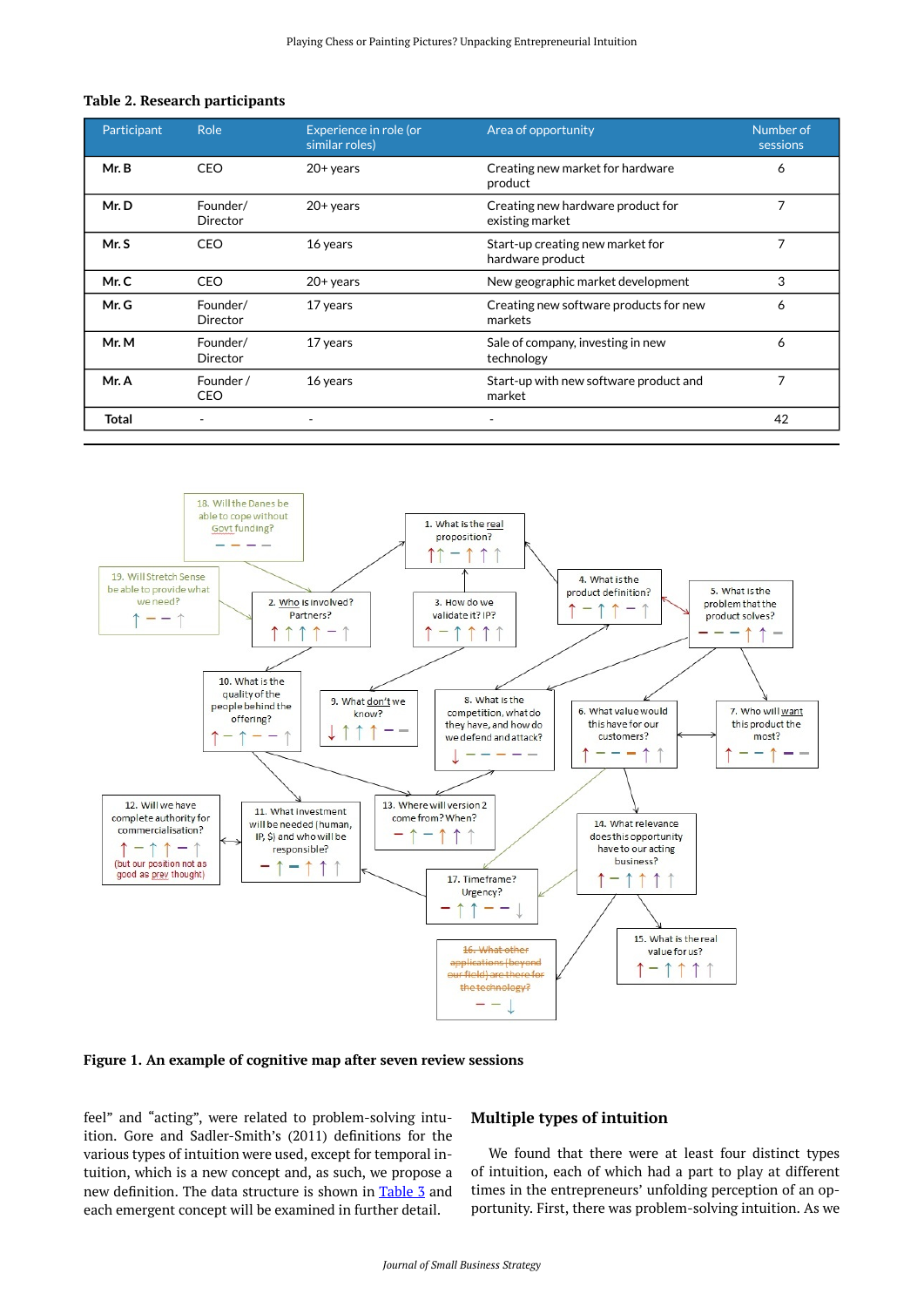## <span id="page-4-1"></span>**Table 2. Research participants**

| Participant | Role                    | Experience in role (or<br>similar roles) | Area of opportunity                                       | Number of<br>sessions |
|-------------|-------------------------|------------------------------------------|-----------------------------------------------------------|-----------------------|
| Mr. B       | CEO                     | $20+$ years                              | Creating new market for hardware<br>product               | 6                     |
| Mr.D        | Founder/<br>Director    | $20+$ years                              | 7<br>Creating new hardware product for<br>existing market |                       |
| Mr. S       | CEO                     | 16 years                                 | Start-up creating new market for<br>hardware product      | 7                     |
| Mr.C        | CEO                     | $20+$ years                              | New geographic market development                         | 3                     |
| Mr. G       | Founder/<br>Director    | 17 years                                 | Creating new software products for new<br>markets         | 6                     |
| Mr. M       | Founder/<br>Director    | 17 years                                 | Sale of company, investing in new<br>technology           | 6                     |
| Mr. A       | Founder /<br><b>CEO</b> | 16 years                                 | Start-up with new software product and<br>market          | 7                     |
| Total       |                         |                                          | $\overline{\phantom{a}}$                                  | 42                    |

<span id="page-4-0"></span>

**Figure 1. An example of cognitive map after seven review sessions** 

feel" and "acting", were related to problem-solving intuition. Gore and Sadler-Smith's (2011) definitions for the various types of intuition were used, except for temporal intuition, which is a new concept and, as such, we propose a new definition. The data structure is shown in [Table 3](#page-5-0) and each emergent concept will be examined in further detail.

# **Multiple types of intuition**

We found that there were at least four distinct types of intuition, each of which had a part to play at different times in the entrepreneurs' unfolding perception of an opportunity. First, there was problem-solving intuition. As we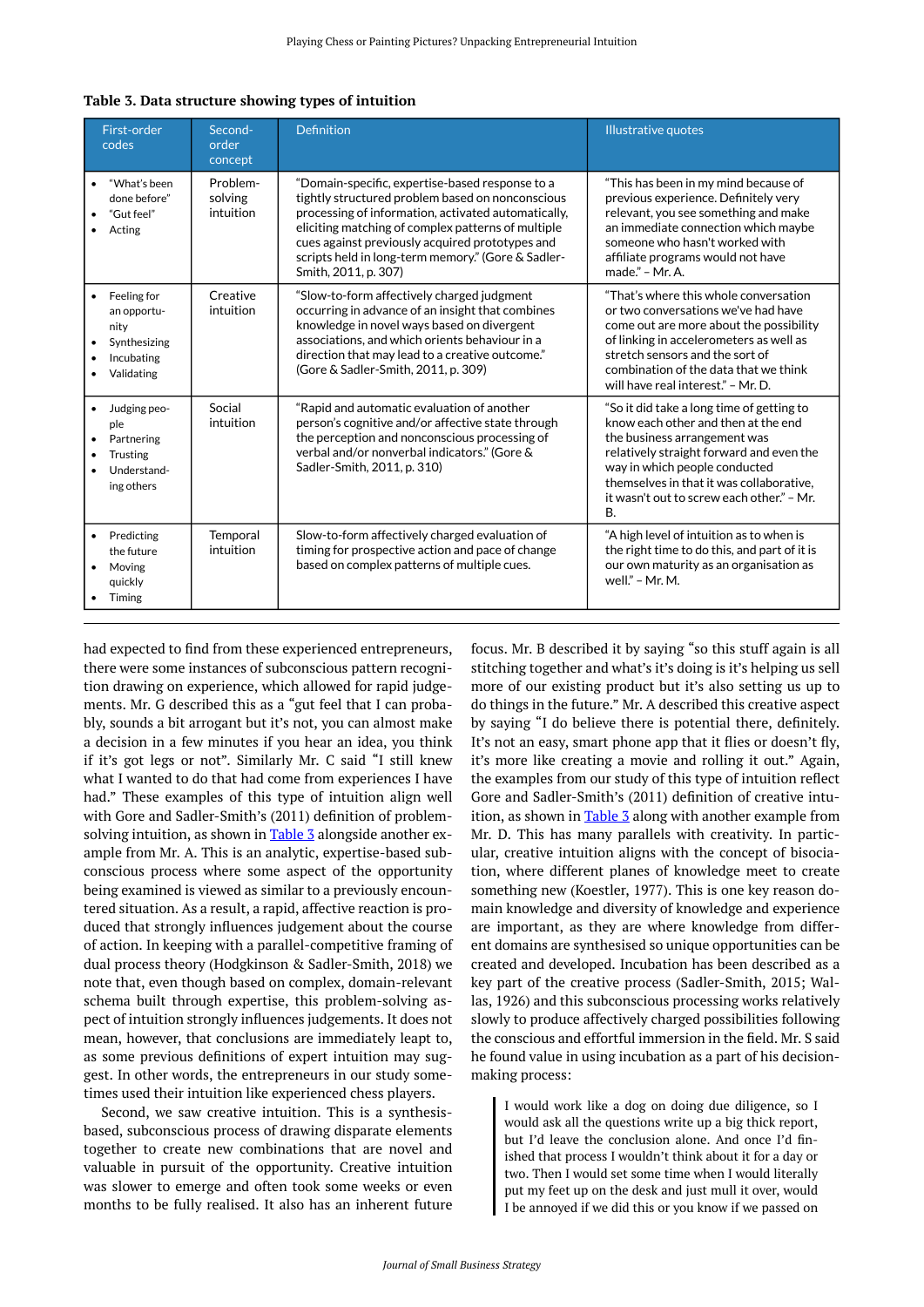| First-order<br>codes                                                                        | Second-<br>order<br>concept      | <b>Definition</b>                                                                                                                                                                                                                                                                                                                                 | <b>Illustrative quotes</b>                                                                                                                                                                                                                                                                          |
|---------------------------------------------------------------------------------------------|----------------------------------|---------------------------------------------------------------------------------------------------------------------------------------------------------------------------------------------------------------------------------------------------------------------------------------------------------------------------------------------------|-----------------------------------------------------------------------------------------------------------------------------------------------------------------------------------------------------------------------------------------------------------------------------------------------------|
| "What's been<br>done before"<br>"Gut feel"<br>Acting                                        | Problem-<br>solving<br>intuition | "Domain-specific, expertise-based response to a<br>tightly structured problem based on nonconscious<br>processing of information, activated automatically,<br>eliciting matching of complex patterns of multiple<br>cues against previously acquired prototypes and<br>scripts held in long-term memory." (Gore & Sadler-<br>Smith, 2011, p. 307) | "This has been in my mind because of<br>previous experience. Definitely very<br>relevant, you see something and make<br>an immediate connection which maybe<br>someone who hasn't worked with<br>affiliate programs would not have<br>made." - Mr. A.                                               |
| Feeling for<br>$\bullet$<br>an opportu-<br>nity<br>Synthesizing<br>Incubating<br>Validating | Creative<br>intuition            | "Slow-to-form affectively charged judgment<br>occurring in advance of an insight that combines<br>knowledge in novel ways based on divergent<br>associations, and which orients behaviour in a<br>direction that may lead to a creative outcome."<br>(Gore & Sadler-Smith, 2011, p. 309)                                                          | "That's where this whole conversation<br>or two conversations we've had have<br>come out are more about the possibility<br>of linking in accelerometers as well as<br>stretch sensors and the sort of<br>combination of the data that we think<br>will have real interest." - Mr. D.                |
| Judging peo-<br>ple<br>Partnering<br>Trusting<br>Understand-<br>ing others                  | Social<br>intuition              | "Rapid and automatic evaluation of another<br>person's cognitive and/or affective state through<br>the perception and nonconscious processing of<br>verbal and/or nonverbal indicators." (Gore &<br>Sadler-Smith, 2011, p. 310)                                                                                                                   | "So it did take a long time of getting to<br>know each other and then at the end<br>the business arrangement was<br>relatively straight forward and even the<br>way in which people conducted<br>themselves in that it was collaborative,<br>it wasn't out to screw each other." - Mr.<br><b>B.</b> |
| Predicting<br>the future<br>Moving<br>quickly<br>Timing                                     | Temporal<br>intuition            | Slow-to-form affectively charged evaluation of<br>timing for prospective action and pace of change<br>based on complex patterns of multiple cues.                                                                                                                                                                                                 | "A high level of intuition as to when is<br>the right time to do this, and part of it is<br>our own maturity as an organisation as<br>well." $-$ Mr. M.                                                                                                                                             |

<span id="page-5-0"></span>

| Table 3. Data structure showing types of intuition |  |  |  |  |
|----------------------------------------------------|--|--|--|--|
|----------------------------------------------------|--|--|--|--|

had expected to find from these experienced entrepreneurs, there were some instances of subconscious pattern recognition drawing on experience, which allowed for rapid judgements. Mr. G described this as a "gut feel that I can probably, sounds a bit arrogant but it's not, you can almost make a decision in a few minutes if you hear an idea, you think if it's got legs or not". Similarly Mr. C said "I still knew what I wanted to do that had come from experiences I have had." These examples of this type of intuition align well with Gore and Sadler-Smith's (2011) definition of problemsolving intuition, as shown in  $Table 3$  alongside another example from Mr. A. This is an analytic, expertise-based subconscious process where some aspect of the opportunity being examined is viewed as similar to a previously encountered situation. As a result, a rapid, affective reaction is produced that strongly influences judgement about the course of action. In keeping with a parallel-competitive framing of dual process theory (Hodgkinson & Sadler-Smith, 2018) we note that, even though based on complex, domain-relevant schema built through expertise, this problem-solving aspect of intuition strongly influences judgements. It does not mean, however, that conclusions are immediately leapt to, as some previous definitions of expert intuition may suggest. In other words, the entrepreneurs in our study sometimes used their intuition like experienced chess players.

Second, we saw creative intuition. This is a synthesisbased, subconscious process of drawing disparate elements together to create new combinations that are novel and valuable in pursuit of the opportunity. Creative intuition was slower to emerge and often took some weeks or even months to be fully realised. It also has an inherent future

focus. Mr. B described it by saying "so this stuff again is all stitching together and what's it's doing is it's helping us sell more of our existing product but it's also setting us up to do things in the future." Mr. A described this creative aspect by saying "I do believe there is potential there, definitely. It's not an easy, smart phone app that it flies or doesn't fly, it's more like creating a movie and rolling it out." Again, the examples from our study of this type of intuition reflect Gore and Sadler-Smith's (2011) definition of creative intu-ition, as shown in [Table 3](#page-5-0) along with another example from Mr. D. This has many parallels with creativity. In particular, creative intuition aligns with the concept of bisociation, where different planes of knowledge meet to create something new (Koestler, 1977). This is one key reason domain knowledge and diversity of knowledge and experience are important, as they are where knowledge from different domains are synthesised so unique opportunities can be created and developed. Incubation has been described as a key part of the creative process (Sadler-Smith, 2015; Wallas, 1926) and this subconscious processing works relatively slowly to produce affectively charged possibilities following the conscious and effortful immersion in the field. Mr. S said he found value in using incubation as a part of his decisionmaking process:

I would work like a dog on doing due diligence, so I would ask all the questions write up a big thick report, but I'd leave the conclusion alone. And once I'd finished that process I wouldn't think about it for a day or two. Then I would set some time when I would literally put my feet up on the desk and just mull it over, would I be annoyed if we did this or you know if we passed on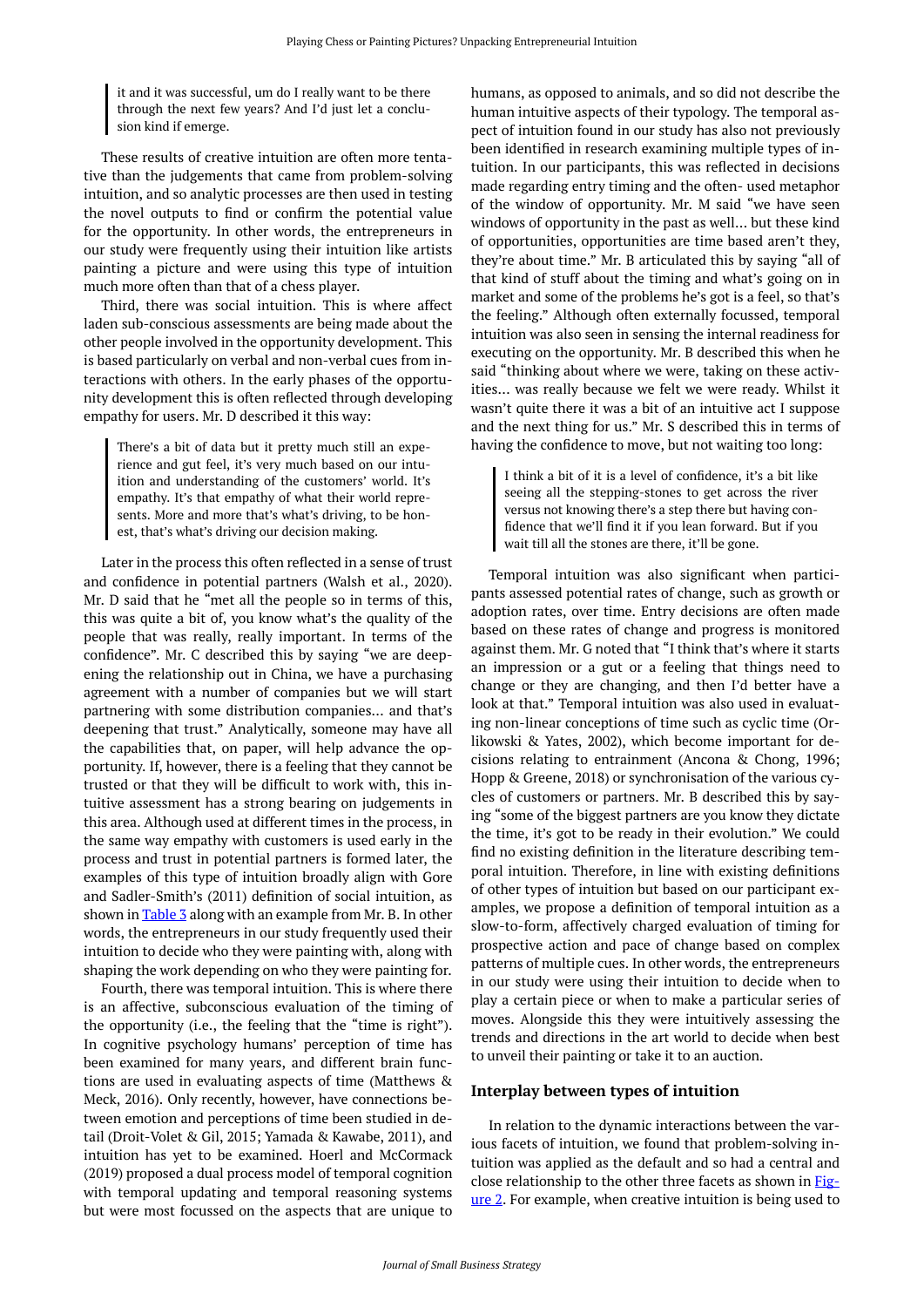it and it was successful, um do I really want to be there through the next few years? And I'd just let a conclusion kind if emerge.

These results of creative intuition are often more tentative than the judgements that came from problem-solving intuition, and so analytic processes are then used in testing the novel outputs to find or confirm the potential value for the opportunity. In other words, the entrepreneurs in our study were frequently using their intuition like artists painting a picture and were using this type of intuition much more often than that of a chess player.

Third, there was social intuition. This is where affect laden sub-conscious assessments are being made about the other people involved in the opportunity development. This is based particularly on verbal and non-verbal cues from interactions with others. In the early phases of the opportunity development this is often reflected through developing empathy for users. Mr. D described it this way:

There's a bit of data but it pretty much still an experience and gut feel, it's very much based on our intuition and understanding of the customers' world. It's empathy. It's that empathy of what their world represents. More and more that's what's driving, to be honest, that's what's driving our decision making.

Later in the process this often reflected in a sense of trust and confidence in potential partners (Walsh et al., 2020). Mr. D said that he "met all the people so in terms of this, this was quite a bit of, you know what's the quality of the people that was really, really important. In terms of the confidence". Mr. C described this by saying "we are deepening the relationship out in China, we have a purchasing agreement with a number of companies but we will start partnering with some distribution companies… and that's deepening that trust." Analytically, someone may have all the capabilities that, on paper, will help advance the opportunity. If, however, there is a feeling that they cannot be trusted or that they will be difficult to work with, this intuitive assessment has a strong bearing on judgements in this area. Although used at different times in the process, in the same way empathy with customers is used early in the process and trust in potential partners is formed later, the examples of this type of intuition broadly align with Gore and Sadler-Smith's (2011) definition of social intuition, as shown in [Table 3](#page-5-0) along with an example from Mr. B. In other words, the entrepreneurs in our study frequently used their intuition to decide who they were painting with, along with shaping the work depending on who they were painting for.

Fourth, there was temporal intuition. This is where there is an affective, subconscious evaluation of the timing of the opportunity (i.e., the feeling that the "time is right"). In cognitive psychology humans' perception of time has been examined for many years, and different brain functions are used in evaluating aspects of time (Matthews & Meck, 2016). Only recently, however, have connections between emotion and perceptions of time been studied in detail (Droit-Volet & Gil, 2015; Yamada & Kawabe, 2011), and intuition has yet to be examined. Hoerl and McCormack (2019) proposed a dual process model of temporal cognition with temporal updating and temporal reasoning systems but were most focussed on the aspects that are unique to

humans, as opposed to animals, and so did not describe the human intuitive aspects of their typology. The temporal aspect of intuition found in our study has also not previously been identified in research examining multiple types of intuition. In our participants, this was reflected in decisions made regarding entry timing and the often- used metaphor of the window of opportunity. Mr. M said "we have seen windows of opportunity in the past as well… but these kind of opportunities, opportunities are time based aren't they, they're about time." Mr. B articulated this by saying "all of that kind of stuff about the timing and what's going on in market and some of the problems he's got is a feel, so that's the feeling." Although often externally focussed, temporal intuition was also seen in sensing the internal readiness for executing on the opportunity. Mr. B described this when he said "thinking about where we were, taking on these activities… was really because we felt we were ready. Whilst it wasn't quite there it was a bit of an intuitive act I suppose and the next thing for us." Mr. S described this in terms of having the confidence to move, but not waiting too long:

I think a bit of it is a level of confidence, it's a bit like seeing all the stepping-stones to get across the river versus not knowing there's a step there but having confidence that we'll find it if you lean forward. But if you wait till all the stones are there, it'll be gone.

Temporal intuition was also significant when participants assessed potential rates of change, such as growth or adoption rates, over time. Entry decisions are often made based on these rates of change and progress is monitored against them. Mr. G noted that "I think that's where it starts an impression or a gut or a feeling that things need to change or they are changing, and then I'd better have a look at that." Temporal intuition was also used in evaluating non-linear conceptions of time such as cyclic time (Orlikowski & Yates, 2002), which become important for decisions relating to entrainment (Ancona & Chong, 1996; Hopp & Greene, 2018) or synchronisation of the various cycles of customers or partners. Mr. B described this by saying "some of the biggest partners are you know they dictate the time, it's got to be ready in their evolution." We could find no existing definition in the literature describing temporal intuition. Therefore, in line with existing definitions of other types of intuition but based on our participant examples, we propose a definition of temporal intuition as a slow-to-form, affectively charged evaluation of timing for prospective action and pace of change based on complex patterns of multiple cues. In other words, the entrepreneurs in our study were using their intuition to decide when to play a certain piece or when to make a particular series of moves. Alongside this they were intuitively assessing the trends and directions in the art world to decide when best to unveil their painting or take it to an auction.

## **Interplay between types of intuition**

In relation to the dynamic interactions between the various facets of intuition, we found that problem-solving intuition was applied as the default and so had a central and close relationship to the other three facets as shown in [Fig](#page-7-0)[ure 2.](#page-7-0) For example, when creative intuition is being used to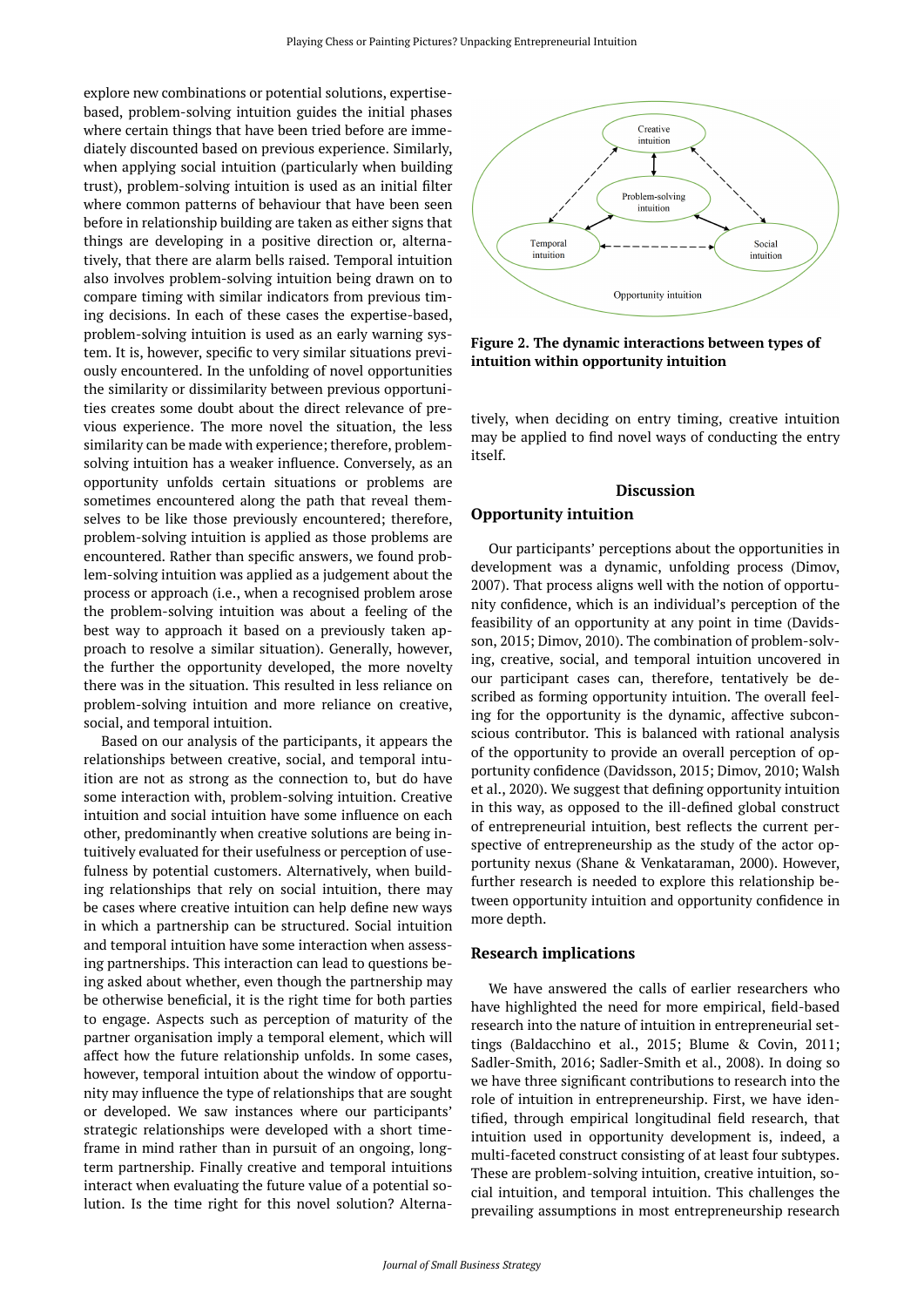<span id="page-7-0"></span>explore new combinations or potential solutions, expertisebased, problem-solving intuition guides the initial phases where certain things that have been tried before are immediately discounted based on previous experience. Similarly, when applying social intuition (particularly when building trust), problem-solving intuition is used as an initial filter where common patterns of behaviour that have been seen before in relationship building are taken as either signs that things are developing in a positive direction or, alternatively, that there are alarm bells raised. Temporal intuition also involves problem-solving intuition being drawn on to compare timing with similar indicators from previous timing decisions. In each of these cases the expertise-based, problem-solving intuition is used as an early warning system. It is, however, specific to very similar situations previously encountered. In the unfolding of novel opportunities the similarity or dissimilarity between previous opportunities creates some doubt about the direct relevance of previous experience. The more novel the situation, the less similarity can be made with experience; therefore, problemsolving intuition has a weaker influence. Conversely, as an opportunity unfolds certain situations or problems are sometimes encountered along the path that reveal themselves to be like those previously encountered; therefore, problem-solving intuition is applied as those problems are encountered. Rather than specific answers, we found problem-solving intuition was applied as a judgement about the process or approach (i.e., when a recognised problem arose the problem-solving intuition was about a feeling of the best way to approach it based on a previously taken approach to resolve a similar situation). Generally, however, the further the opportunity developed, the more novelty there was in the situation. This resulted in less reliance on problem-solving intuition and more reliance on creative, social, and temporal intuition.

Based on our analysis of the participants, it appears the relationships between creative, social, and temporal intuition are not as strong as the connection to, but do have some interaction with, problem-solving intuition. Creative intuition and social intuition have some influence on each other, predominantly when creative solutions are being intuitively evaluated for their usefulness or perception of usefulness by potential customers. Alternatively, when building relationships that rely on social intuition, there may be cases where creative intuition can help define new ways in which a partnership can be structured. Social intuition and temporal intuition have some interaction when assessing partnerships. This interaction can lead to questions being asked about whether, even though the partnership may be otherwise beneficial, it is the right time for both parties to engage. Aspects such as perception of maturity of the partner organisation imply a temporal element, which will affect how the future relationship unfolds. In some cases, however, temporal intuition about the window of opportunity may influence the type of relationships that are sought or developed. We saw instances where our participants' strategic relationships were developed with a short timeframe in mind rather than in pursuit of an ongoing, longterm partnership. Finally creative and temporal intuitions interact when evaluating the future value of a potential solution. Is the time right for this novel solution? Alterna-



**Figure 2. The dynamic interactions between types of intuition within opportunity intuition** 

tively, when deciding on entry timing, creative intuition may be applied to find novel ways of conducting the entry itself.

# **Discussion Opportunity intuition**

Our participants' perceptions about the opportunities in development was a dynamic, unfolding process (Dimov, 2007). That process aligns well with the notion of opportunity confidence, which is an individual's perception of the feasibility of an opportunity at any point in time (Davidsson, 2015; Dimov, 2010). The combination of problem-solving, creative, social, and temporal intuition uncovered in our participant cases can, therefore, tentatively be described as forming opportunity intuition. The overall feeling for the opportunity is the dynamic, affective subconscious contributor. This is balanced with rational analysis of the opportunity to provide an overall perception of opportunity confidence (Davidsson, 2015; Dimov, 2010; Walsh et al., 2020). We suggest that defining opportunity intuition in this way, as opposed to the ill-defined global construct of entrepreneurial intuition, best reflects the current perspective of entrepreneurship as the study of the actor opportunity nexus (Shane & Venkataraman, 2000). However, further research is needed to explore this relationship between opportunity intuition and opportunity confidence in more depth.

## **Research implications**

We have answered the calls of earlier researchers who have highlighted the need for more empirical, field-based research into the nature of intuition in entrepreneurial settings (Baldacchino et al., 2015; Blume & Covin, 2011; Sadler-Smith, 2016; Sadler-Smith et al., 2008). In doing so we have three significant contributions to research into the role of intuition in entrepreneurship. First, we have identified, through empirical longitudinal field research, that intuition used in opportunity development is, indeed, a multi-faceted construct consisting of at least four subtypes. These are problem-solving intuition, creative intuition, social intuition, and temporal intuition. This challenges the prevailing assumptions in most entrepreneurship research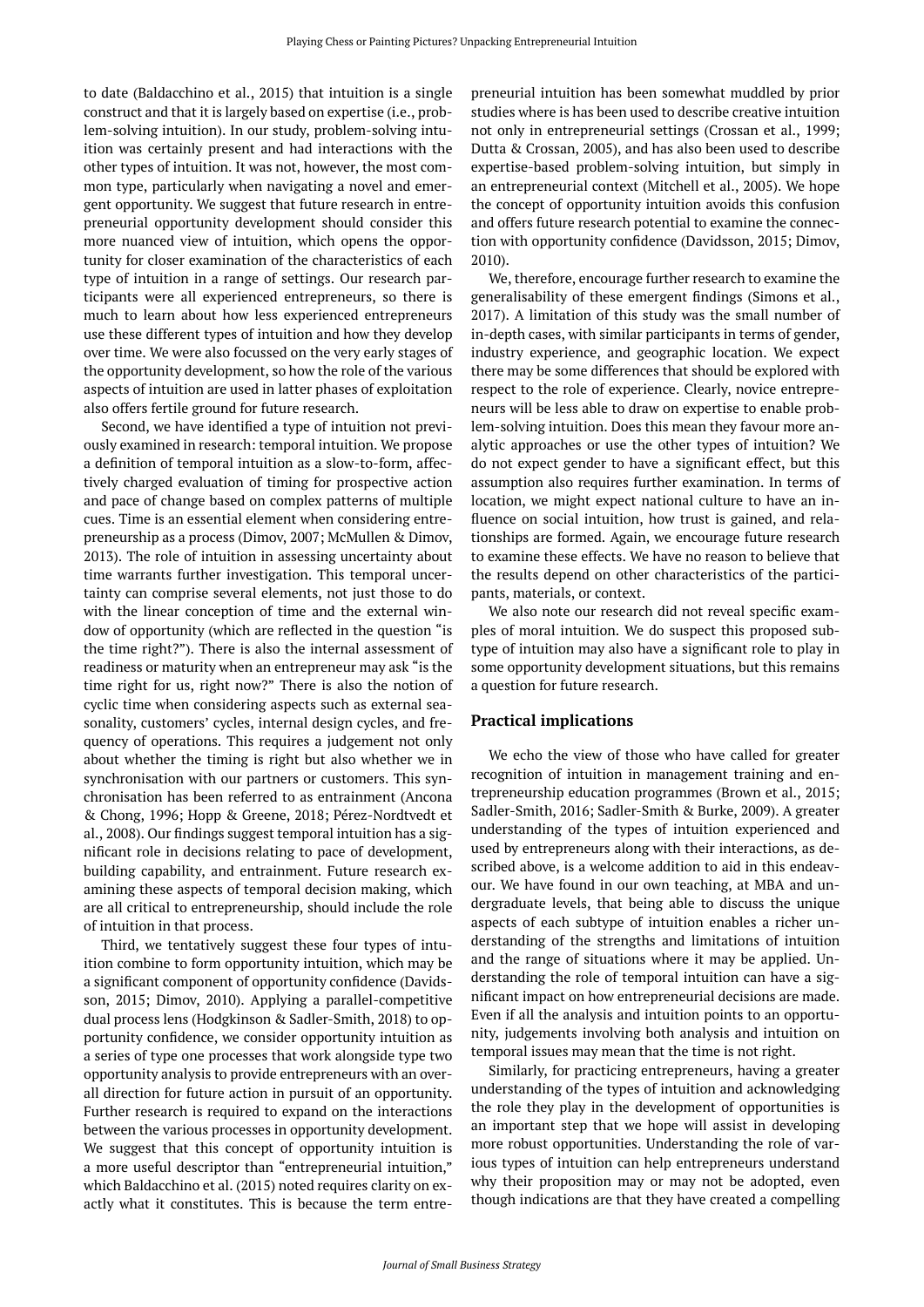to date (Baldacchino et al., 2015) that intuition is a single construct and that it is largely based on expertise (i.e., problem-solving intuition). In our study, problem-solving intuition was certainly present and had interactions with the other types of intuition. It was not, however, the most common type, particularly when navigating a novel and emergent opportunity. We suggest that future research in entrepreneurial opportunity development should consider this more nuanced view of intuition, which opens the opportunity for closer examination of the characteristics of each type of intuition in a range of settings. Our research participants were all experienced entrepreneurs, so there is much to learn about how less experienced entrepreneurs use these different types of intuition and how they develop over time. We were also focussed on the very early stages of the opportunity development, so how the role of the various aspects of intuition are used in latter phases of exploitation also offers fertile ground for future research.

Second, we have identified a type of intuition not previously examined in research: temporal intuition. We propose a definition of temporal intuition as a slow-to-form, affectively charged evaluation of timing for prospective action and pace of change based on complex patterns of multiple cues. Time is an essential element when considering entrepreneurship as a process (Dimov, 2007; McMullen & Dimov, 2013). The role of intuition in assessing uncertainty about time warrants further investigation. This temporal uncertainty can comprise several elements, not just those to do with the linear conception of time and the external window of opportunity (which are reflected in the question "is the time right?"). There is also the internal assessment of readiness or maturity when an entrepreneur may ask "is the time right for us, right now?" There is also the notion of cyclic time when considering aspects such as external seasonality, customers' cycles, internal design cycles, and frequency of operations. This requires a judgement not only about whether the timing is right but also whether we in synchronisation with our partners or customers. This synchronisation has been referred to as entrainment (Ancona & Chong, 1996; Hopp & Greene, 2018; Pérez-Nordtvedt et al., 2008). Our findings suggest temporal intuition has a significant role in decisions relating to pace of development, building capability, and entrainment. Future research examining these aspects of temporal decision making, which are all critical to entrepreneurship, should include the role of intuition in that process.

Third, we tentatively suggest these four types of intuition combine to form opportunity intuition, which may be a significant component of opportunity confidence (Davidsson, 2015; Dimov, 2010). Applying a parallel-competitive dual process lens (Hodgkinson & Sadler-Smith, 2018) to opportunity confidence, we consider opportunity intuition as a series of type one processes that work alongside type two opportunity analysis to provide entrepreneurs with an overall direction for future action in pursuit of an opportunity. Further research is required to expand on the interactions between the various processes in opportunity development. We suggest that this concept of opportunity intuition is a more useful descriptor than "entrepreneurial intuition," which Baldacchino et al. (2015) noted requires clarity on exactly what it constitutes. This is because the term entrepreneurial intuition has been somewhat muddled by prior studies where is has been used to describe creative intuition not only in entrepreneurial settings (Crossan et al., 1999; Dutta & Crossan, 2005), and has also been used to describe expertise-based problem-solving intuition, but simply in an entrepreneurial context (Mitchell et al., 2005). We hope the concept of opportunity intuition avoids this confusion and offers future research potential to examine the connection with opportunity confidence (Davidsson, 2015; Dimov, 2010).

We, therefore, encourage further research to examine the generalisability of these emergent findings (Simons et al., 2017). A limitation of this study was the small number of in-depth cases, with similar participants in terms of gender, industry experience, and geographic location. We expect there may be some differences that should be explored with respect to the role of experience. Clearly, novice entrepreneurs will be less able to draw on expertise to enable problem-solving intuition. Does this mean they favour more analytic approaches or use the other types of intuition? We do not expect gender to have a significant effect, but this assumption also requires further examination. In terms of location, we might expect national culture to have an influence on social intuition, how trust is gained, and relationships are formed. Again, we encourage future research to examine these effects. We have no reason to believe that the results depend on other characteristics of the participants, materials, or context.

We also note our research did not reveal specific examples of moral intuition. We do suspect this proposed subtype of intuition may also have a significant role to play in some opportunity development situations, but this remains a question for future research.

#### **Practical implications**

We echo the view of those who have called for greater recognition of intuition in management training and entrepreneurship education programmes (Brown et al., 2015; Sadler-Smith, 2016; Sadler-Smith & Burke, 2009). A greater understanding of the types of intuition experienced and used by entrepreneurs along with their interactions, as described above, is a welcome addition to aid in this endeavour. We have found in our own teaching, at MBA and undergraduate levels, that being able to discuss the unique aspects of each subtype of intuition enables a richer understanding of the strengths and limitations of intuition and the range of situations where it may be applied. Understanding the role of temporal intuition can have a significant impact on how entrepreneurial decisions are made. Even if all the analysis and intuition points to an opportunity, judgements involving both analysis and intuition on temporal issues may mean that the time is not right.

Similarly, for practicing entrepreneurs, having a greater understanding of the types of intuition and acknowledging the role they play in the development of opportunities is an important step that we hope will assist in developing more robust opportunities. Understanding the role of various types of intuition can help entrepreneurs understand why their proposition may or may not be adopted, even though indications are that they have created a compelling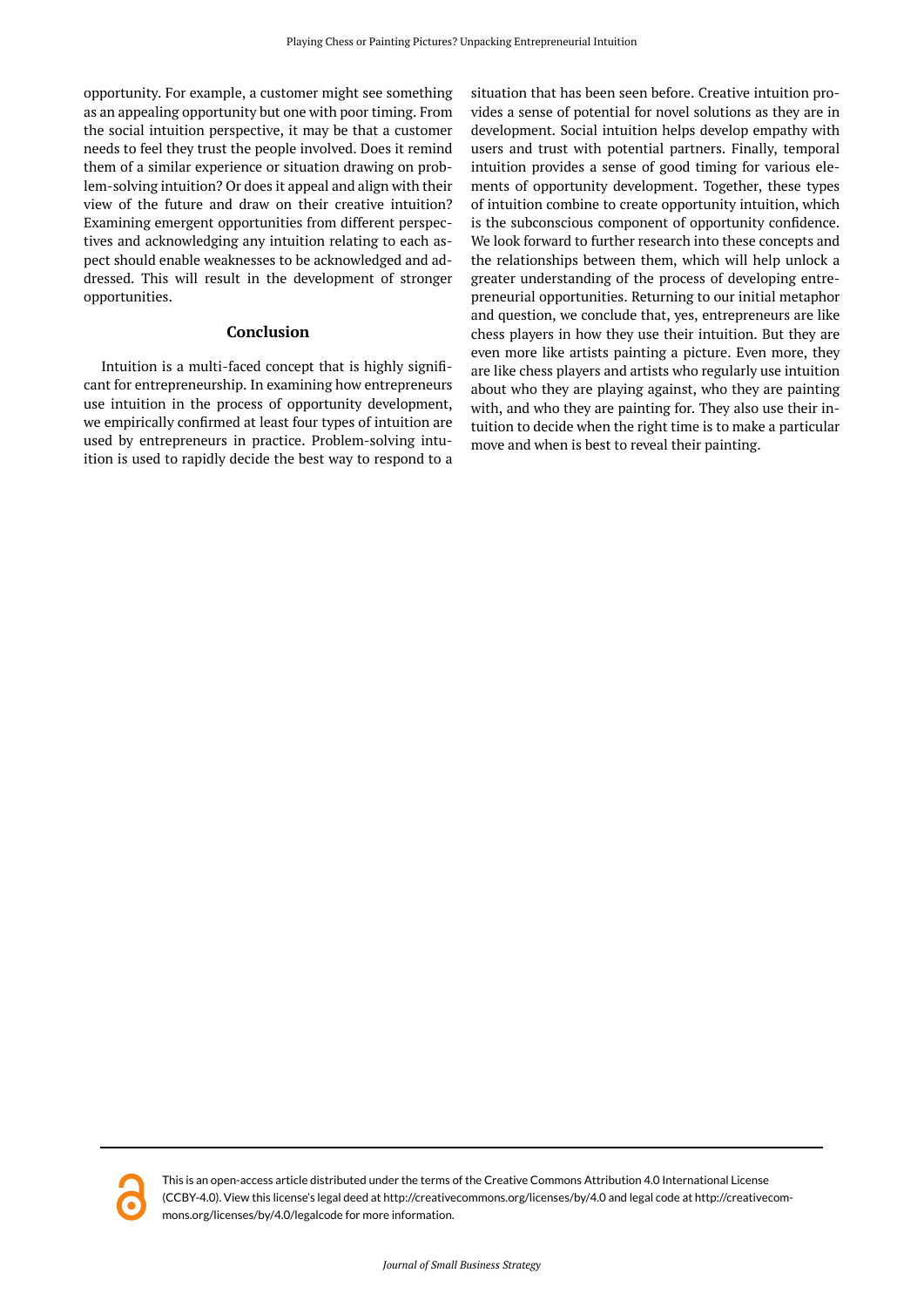opportunity. For example, a customer might see something as an appealing opportunity but one with poor timing. From the social intuition perspective, it may be that a customer needs to feel they trust the people involved. Does it remind them of a similar experience or situation drawing on problem-solving intuition? Or does it appeal and align with their view of the future and draw on their creative intuition? Examining emergent opportunities from different perspectives and acknowledging any intuition relating to each aspect should enable weaknesses to be acknowledged and addressed. This will result in the development of stronger opportunities.

## **Conclusion**

Intuition is a multi-faced concept that is highly significant for entrepreneurship. In examining how entrepreneurs use intuition in the process of opportunity development, we empirically confirmed at least four types of intuition are used by entrepreneurs in practice. Problem-solving intuition is used to rapidly decide the best way to respond to a

situation that has been seen before. Creative intuition provides a sense of potential for novel solutions as they are in development. Social intuition helps develop empathy with users and trust with potential partners. Finally, temporal intuition provides a sense of good timing for various elements of opportunity development. Together, these types of intuition combine to create opportunity intuition, which is the subconscious component of opportunity confidence. We look forward to further research into these concepts and the relationships between them, which will help unlock a greater understanding of the process of developing entrepreneurial opportunities. Returning to our initial metaphor and question, we conclude that, yes, entrepreneurs are like chess players in how they use their intuition. But they are even more like artists painting a picture. Even more, they are like chess players and artists who regularly use intuition about who they are playing against, who they are painting with, and who they are painting for. They also use their intuition to decide when the right time is to make a particular move and when is best to reveal their painting.



This is an open-access article distributed under the terms of the Creative Commons Attribution 4.0 International License (CCBY-4.0). View this license's legal deed at http://creativecommons.org/licenses/by/4.0 and legal code at http://creativecommons.org/licenses/by/4.0/legalcode for more information.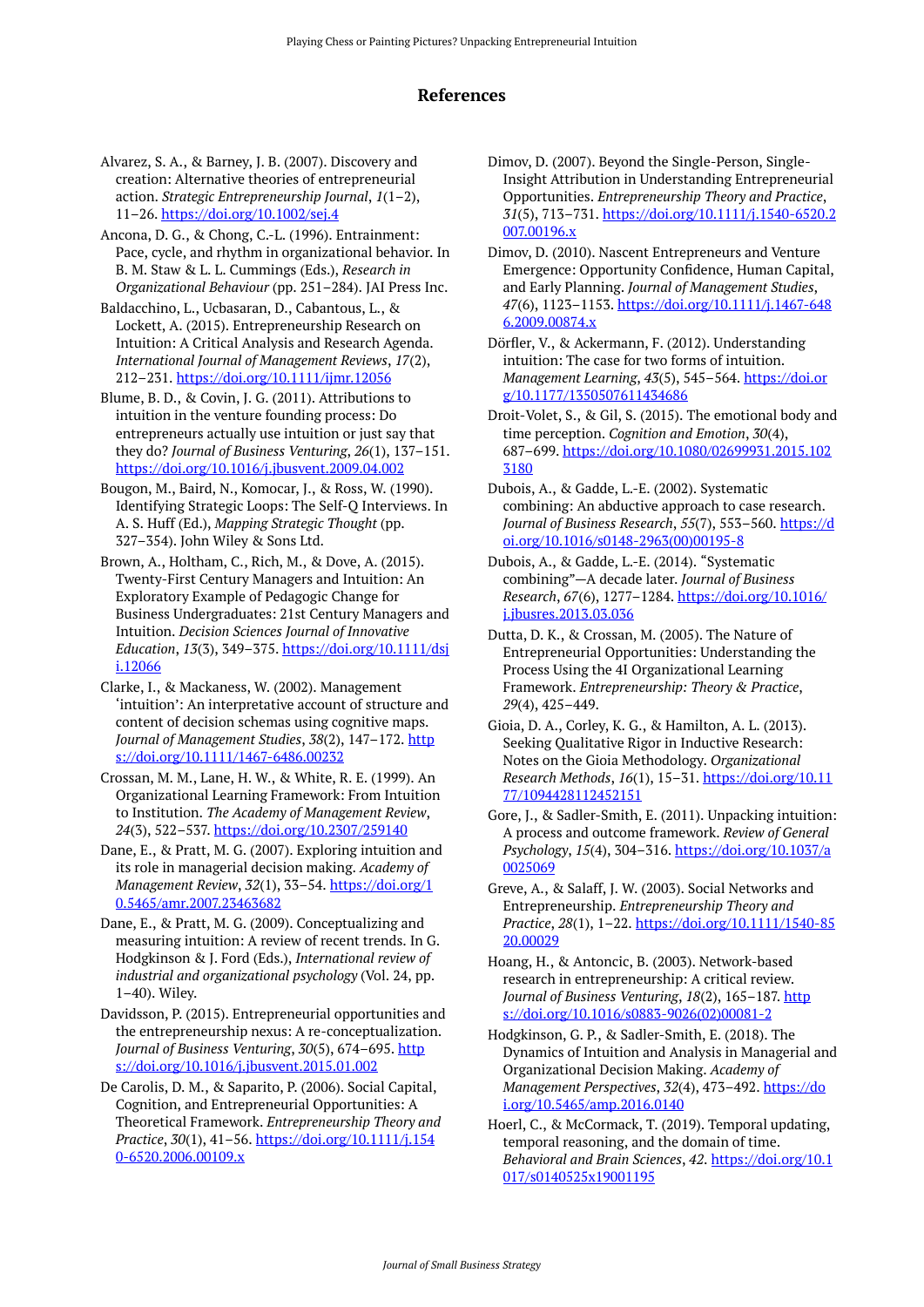# **References**

Alvarez, S. A., & Barney, J. B. (2007). Discovery and creation: Alternative theories of entrepreneurial action. *Strategic Entrepreneurship Journal*, *1*(1–2), 11–26.<https://doi.org/10.1002/sej.4>

Ancona, D. G., & Chong, C.-L. (1996). Entrainment: Pace, cycle, and rhythm in organizational behavior. In B. M. Staw & L. L. Cummings (Eds.), *Research in Organizational Behaviour* (pp. 251–284). JAI Press Inc.

Baldacchino, L., Ucbasaran, D., Cabantous, L., & Lockett, A. (2015). Entrepreneurship Research on Intuition: A Critical Analysis and Research Agenda. *International Journal of Management Reviews*, *17*(2), 212–231. <https://doi.org/10.1111/ijmr.12056>

Blume, B. D., & Covin, J. G. (2011). Attributions to intuition in the venture founding process: Do entrepreneurs actually use intuition or just say that they do? *Journal of Business Venturing*, *26*(1), 137–151. <https://doi.org/10.1016/j.jbusvent.2009.04.002>

- Bougon, M., Baird, N., Komocar, J., & Ross, W. (1990). Identifying Strategic Loops: The Self-Q Interviews. In A. S. Huff (Ed.), *Mapping Strategic Thought* (pp. 327–354). John Wiley & Sons Ltd.
- Brown, A., Holtham, C., Rich, M., & Dove, A. (2015). Twenty-First Century Managers and Intuition: An Exploratory Example of Pedagogic Change for Business Undergraduates: 21st Century Managers and Intuition. *Decision Sciences Journal of Innovative Education*, *13*(3), 349–375. [https://doi.org/10.1111/dsj](https://doi.org/10.1111/dsji.12066) [i.12066](https://doi.org/10.1111/dsji.12066)
- Clarke, I., & Mackaness, W. (2002). Management 'intuition': An interpretative account of structure and content of decision schemas using cognitive maps. *Journal of Management Studies*, *38*(2), 147–172. [http](https://doi.org/10.1111/1467-6486.00232) [s://doi.org/10.1111/1467-6486.00232](https://doi.org/10.1111/1467-6486.00232)
- Crossan, M. M., Lane, H. W., & White, R. E. (1999). An Organizational Learning Framework: From Intuition to Institution. *The Academy of Management Review*, *24*(3), 522–537. <https://doi.org/10.2307/259140>

Dane, E., & Pratt, M. G. (2007). Exploring intuition and its role in managerial decision making. *Academy of Management Review*, *32*(1), 33–54. [https://doi.org/1](https://doi.org/10.5465/amr.2007.23463682) [0.5465/amr.2007.23463682](https://doi.org/10.5465/amr.2007.23463682)

Dane, E., & Pratt, M. G. (2009). Conceptualizing and measuring intuition: A review of recent trends. In G. Hodgkinson & J. Ford (Eds.), *International review of industrial and organizational psychology* (Vol. 24, pp. 1–40). Wiley.

Davidsson, P. (2015). Entrepreneurial opportunities and the entrepreneurship nexus: A re-conceptualization. *Journal of Business Venturing*, *30*(5), 674–695. [http](https://doi.org/10.1016/j.jbusvent.2015.01.002) [s://doi.org/10.1016/j.jbusvent.2015.01.002](https://doi.org/10.1016/j.jbusvent.2015.01.002)

De Carolis, D. M., & Saparito, P. (2006). Social Capital, Cognition, and Entrepreneurial Opportunities: A Theoretical Framework. *Entrepreneurship Theory and Practice*, *30*(1), 41–56. [https://doi.org/10.1111/j.154](https://doi.org/10.1111/j.1540-6520.2006.00109.x) [0-6520.2006.00109.x](https://doi.org/10.1111/j.1540-6520.2006.00109.x) 

Dimov, D. (2007). Beyond the Single-Person, Single-Insight Attribution in Understanding Entrepreneurial Opportunities. *Entrepreneurship Theory and Practice*, *31*(5), 713–731. [https://doi.org/10.1111/j.1540-6520.2](https://doi.org/10.1111/j.1540-6520.2007.00196.x) [007.00196.x](https://doi.org/10.1111/j.1540-6520.2007.00196.x)

Dimov, D. (2010). Nascent Entrepreneurs and Venture Emergence: Opportunity Confidence, Human Capital, and Early Planning. *Journal of Management Studies*, *47*(6), 1123–1153. [https://doi.org/10.1111/j.1467-648](https://doi.org/10.1111/j.1467-6486.2009.00874.x) [6.2009.00874.x](https://doi.org/10.1111/j.1467-6486.2009.00874.x)

Dörfler, V., & Ackermann, F. (2012). Understanding intuition: The case for two forms of intuition. *Management Learning*, *43*(5), 545–564. [https://doi.or](https://doi.org/10.1177/1350507611434686) [g/10.1177/1350507611434686](https://doi.org/10.1177/1350507611434686)

Droit-Volet, S., & Gil, S. (2015). The emotional body and time perception. *Cognition and Emotion*, *30*(4), 687–699. [https://doi.org/10.1080/02699931.2015.102](https://doi.org/10.1080/02699931.2015.1023180) [3180](https://doi.org/10.1080/02699931.2015.1023180)

Dubois, A., & Gadde, L.-E. (2002). Systematic combining: An abductive approach to case research. *Journal of Business Research*, *55*(7), 553–560. [https://d](https://doi.org/10.1016/s0148-2963(00)00195-8) [oi.org/10.1016/s0148-2963\(00\)00195-8](https://doi.org/10.1016/s0148-2963(00)00195-8) 

Dubois, A., & Gadde, L.-E. (2014). "Systematic combining"—A decade later. *Journal of Business Research*, *67*(6), 1277–1284. [https://doi.org/10.1016/](https://doi.org/10.1016/j.jbusres.2013.03.036) [j.jbusres.2013.03.036](https://doi.org/10.1016/j.jbusres.2013.03.036)

Dutta, D. K., & Crossan, M. (2005). The Nature of Entrepreneurial Opportunities: Understanding the Process Using the 4I Organizational Learning Framework. *Entrepreneurship: Theory & Practice*, *29*(4), 425–449.

Gioia, D. A., Corley, K. G., & Hamilton, A. L. (2013). Seeking Qualitative Rigor in Inductive Research: Notes on the Gioia Methodology. *Organizational Research Methods*, *16*(1), 15–31. [https://doi.org/10.11](https://doi.org/10.1177/1094428112452151) [77/1094428112452151](https://doi.org/10.1177/1094428112452151) 

Gore, J., & Sadler-Smith, E. (2011). Unpacking intuition: A process and outcome framework. *Review of General Psychology*, *15*(4), 304–316. [https://doi.org/10.1037/a](https://doi.org/10.1037/a0025069) [0025069](https://doi.org/10.1037/a0025069) 

Greve, A., & Salaff, J. W. (2003). Social Networks and Entrepreneurship. *Entrepreneurship Theory and Practice*, *28*(1), 1–22. [https://doi.org/10.1111/1540-85](https://doi.org/10.1111/1540-8520.00029) [20.00029](https://doi.org/10.1111/1540-8520.00029)

Hoang, H., & Antoncic, B. (2003). Network-based research in entrepreneurship: A critical review. *Journal of Business Venturing*, *18*(2), 165–187. [http](https://doi.org/10.1016/s0883-9026(02)00081-2) [s://doi.org/10.1016/s0883-9026\(02\)00081-2](https://doi.org/10.1016/s0883-9026(02)00081-2) 

Hodgkinson, G. P., & Sadler-Smith, E. (2018). The Dynamics of Intuition and Analysis in Managerial and Organizational Decision Making. *Academy of Management Perspectives*, *32*(4), 473–492. [https://do](https://doi.org/10.5465/amp.2016.0140) [i.org/10.5465/amp.2016.0140](https://doi.org/10.5465/amp.2016.0140) 

Hoerl, C., & McCormack, T. (2019). Temporal updating, temporal reasoning, and the domain of time. *Behavioral and Brain Sciences*, *42*. [https://doi.org/10.1](https://doi.org/10.1017/s0140525x19001195) [017/s0140525x19001195](https://doi.org/10.1017/s0140525x19001195)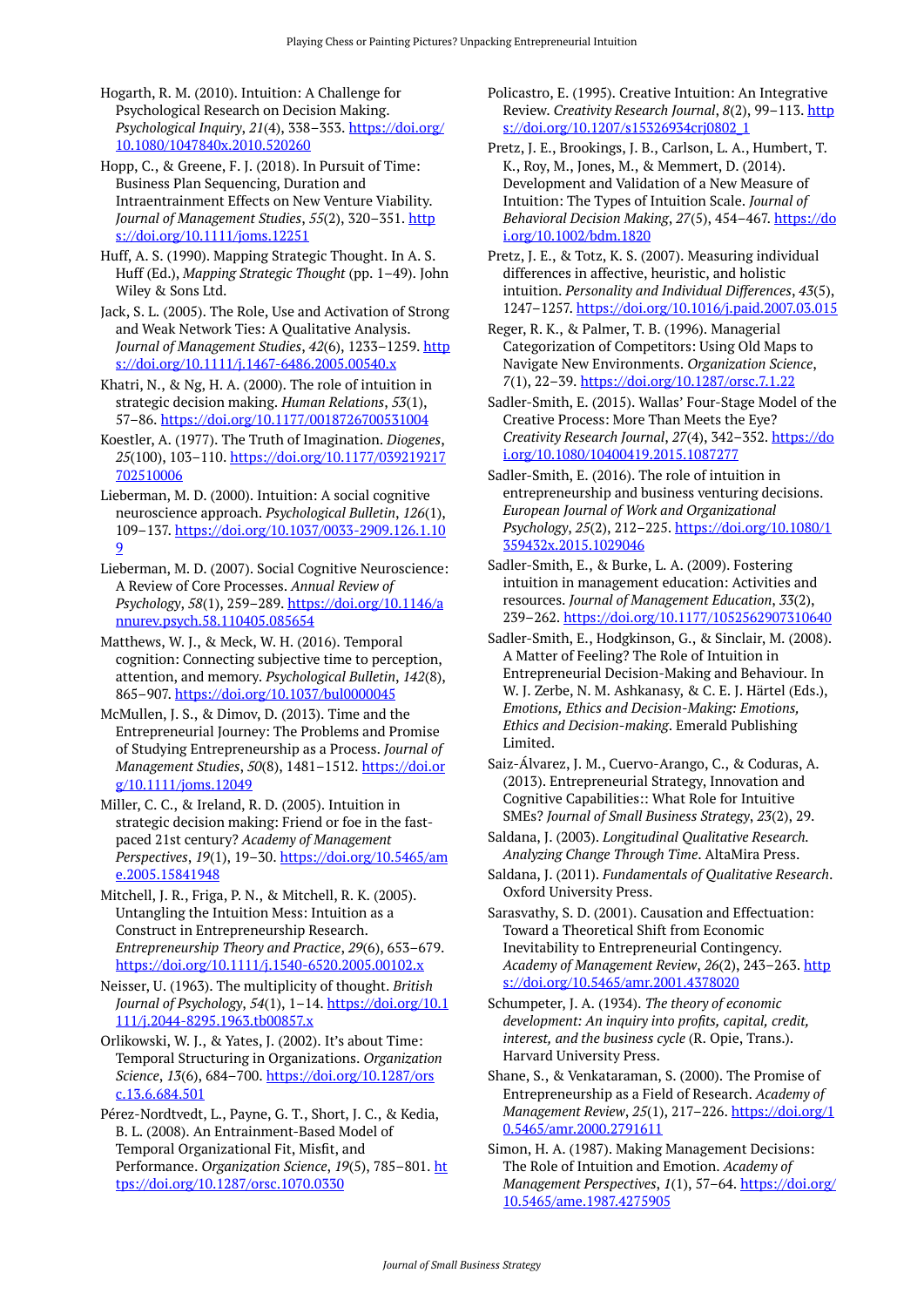Hogarth, R. M. (2010). Intuition: A Challenge for Psychological Research on Decision Making. *Psychological Inquiry*, *21*(4), 338–353. [https://doi.org/](https://doi.org/10.1080/1047840x.2010.520260) [10.1080/1047840x.2010.520260](https://doi.org/10.1080/1047840x.2010.520260)

Hopp, C., & Greene, F. J. (2018). In Pursuit of Time: Business Plan Sequencing, Duration and Intraentrainment Effects on New Venture Viability. *Journal of Management Studies*, *55*(2), 320–351. [http](https://doi.org/10.1111/joms.12251) [s://doi.org/10.1111/joms.12251](https://doi.org/10.1111/joms.12251)

Huff, A. S. (1990). Mapping Strategic Thought. In A. S. Huff (Ed.), *Mapping Strategic Thought* (pp. 1–49). John Wiley & Sons Ltd.

Jack, S. L. (2005). The Role, Use and Activation of Strong and Weak Network Ties: A Qualitative Analysis. Journal of Management Studies, 42(6), 1233-1259. [http](https://doi.org/10.1111/j.1467-6486.2005.00540.x) [s://doi.org/10.1111/j.1467-6486.2005.00540.x](https://doi.org/10.1111/j.1467-6486.2005.00540.x) 

Khatri, N., & Ng, H. A. (2000). The role of intuition in strategic decision making. *Human Relations*, *53*(1), 57–86. <https://doi.org/10.1177/0018726700531004>

Koestler, A. (1977). The Truth of Imagination. *Diogenes*, *25*(100), 103–110. [https://doi.org/10.1177/039219217](https://doi.org/10.1177/039219217702510006) [702510006](https://doi.org/10.1177/039219217702510006) 

Lieberman, M. D. (2000). Intuition: A social cognitive neuroscience approach. *Psychological Bulletin*, *126*(1), 109–137. [https://doi.org/10.1037/0033-2909.126.1.10](https://doi.org/10.1037/0033-2909.126.1.109) [9](https://doi.org/10.1037/0033-2909.126.1.109)

Lieberman, M. D. (2007). Social Cognitive Neuroscience: A Review of Core Processes. *Annual Review of Psychology*, *58*(1), 259–289. [https://doi.org/10.1146/a](https://doi.org/10.1146/annurev.psych.58.110405.085654) [nnurev.psych.58.110405.085654](https://doi.org/10.1146/annurev.psych.58.110405.085654)

Matthews, W. J., & Meck, W. H. (2016). Temporal cognition: Connecting subjective time to perception, attention, and memory. *Psychological Bulletin*, *142*(8), 865–907. <https://doi.org/10.1037/bul0000045>

McMullen, J. S., & Dimov, D. (2013). Time and the Entrepreneurial Journey: The Problems and Promise of Studying Entrepreneurship as a Process. *Journal of Management Studies*, *50*(8), 1481–1512. [https://doi.or](https://doi.org/10.1111/joms.12049) [g/10.1111/joms.12049](https://doi.org/10.1111/joms.12049)

Miller, C. C., & Ireland, R. D. (2005). Intuition in strategic decision making: Friend or foe in the fastpaced 21st century? *Academy of Management Perspectives*, *19*(1), 19–30. [https://doi.org/10.5465/am](https://doi.org/10.5465/ame.2005.15841948) [e.2005.15841948](https://doi.org/10.5465/ame.2005.15841948) 

Mitchell, J. R., Friga, P. N., & Mitchell, R. K. (2005). Untangling the Intuition Mess: Intuition as a Construct in Entrepreneurship Research. *Entrepreneurship Theory and Practice*, *29*(6), 653–679. <https://doi.org/10.1111/j.1540-6520.2005.00102.x>

Neisser, U. (1963). The multiplicity of thought. *British Journal of Psychology*, *54*(1), 1–14. [https://doi.org/10.1](https://doi.org/10.1111/j.2044-8295.1963.tb00857.x) [111/j.2044-8295.1963.tb00857.x](https://doi.org/10.1111/j.2044-8295.1963.tb00857.x)

Orlikowski, W. J., & Yates, J. (2002). It's about Time: Temporal Structuring in Organizations. *Organization Science*, *13*(6), 684–700. [https://doi.org/10.1287/ors](https://doi.org/10.1287/orsc.13.6.684.501) [c.13.6.684.501](https://doi.org/10.1287/orsc.13.6.684.501) 

Pérez-Nordtvedt, L., Payne, G. T., Short, J. C., & Kedia, B. L. (2008). An Entrainment-Based Model of Temporal Organizational Fit, Misfit, and Performance. *Organization Science*, *19*(5), 785–801. [ht](https://doi.org/10.1287/orsc.1070.0330) [tps://doi.org/10.1287/orsc.1070.0330](https://doi.org/10.1287/orsc.1070.0330) 

Policastro, E. (1995). Creative Intuition: An Integrative Review. *Creativity Research Journal*, *8*(2), 99–113. [http](https://doi.org/10.1207/s15326934crj0802_1) [s://doi.org/10.1207/s15326934crj0802\\_1](https://doi.org/10.1207/s15326934crj0802_1)

Pretz, J. E., Brookings, J. B., Carlson, L. A., Humbert, T. K., Roy, M., Jones, M., & Memmert, D. (2014). Development and Validation of a New Measure of Intuition: The Types of Intuition Scale. *Journal of Behavioral Decision Making*, *27*(5), 454–467. [https://do](https://doi.org/10.1002/bdm.1820) [i.org/10.1002/bdm.1820](https://doi.org/10.1002/bdm.1820)

Pretz, J. E., & Totz, K. S. (2007). Measuring individual differences in affective, heuristic, and holistic intuition. *Personality and Individual Differences*, *43*(5), 1247–1257. <https://doi.org/10.1016/j.paid.2007.03.015>

Reger, R. K., & Palmer, T. B. (1996). Managerial Categorization of Competitors: Using Old Maps to Navigate New Environments. *Organization Science*, *7*(1), 22–39.<https://doi.org/10.1287/orsc.7.1.22>

Sadler-Smith, E. (2015). Wallas' Four-Stage Model of the Creative Process: More Than Meets the Eye? *Creativity Research Journal*, *27*(4), 342–352. [https://do](https://doi.org/10.1080/10400419.2015.1087277) [i.org/10.1080/10400419.2015.1087277](https://doi.org/10.1080/10400419.2015.1087277)

Sadler-Smith, E. (2016). The role of intuition in entrepreneurship and business venturing decisions. *European Journal of Work and Organizational Psychology*, *25*(2), 212–225. [https://doi.org/10.1080/1](https://doi.org/10.1080/1359432x.2015.1029046) [359432x.2015.1029046](https://doi.org/10.1080/1359432x.2015.1029046)

Sadler-Smith, E., & Burke, L. A. (2009). Fostering intuition in management education: Activities and resources. *Journal of Management Education*, *33*(2), 239–262.<https://doi.org/10.1177/1052562907310640>

Sadler-Smith, E., Hodgkinson, G., & Sinclair, M. (2008). A Matter of Feeling? The Role of Intuition in Entrepreneurial Decision-Making and Behaviour. In W. J. Zerbe, N. M. Ashkanasy, & C. E. J. Härtel (Eds.), *Emotions, Ethics and Decision-Making: Emotions, Ethics and Decision-making*. Emerald Publishing Limited.

Saiz-Álvarez, J. M., Cuervo-Arango, C., & Coduras, A. (2013). Entrepreneurial Strategy, Innovation and Cognitive Capabilities:: What Role for Intuitive SMEs? *Journal of Small Business Strategy*, *23*(2), 29.

Saldana, J. (2003). *Longitudinal Qualitative Research. Analyzing Change Through Time*. AltaMira Press.

Saldana, J. (2011). *Fundamentals of Qualitative Research*. Oxford University Press.

Sarasvathy, S. D. (2001). Causation and Effectuation: Toward a Theoretical Shift from Economic Inevitability to Entrepreneurial Contingency. *Academy of Management Review*, *26*(2), 243–263. [http](https://doi.org/10.5465/amr.2001.4378020) [s://doi.org/10.5465/amr.2001.4378020](https://doi.org/10.5465/amr.2001.4378020)

Schumpeter, J. A. (1934). *The theory of economic development: An inquiry into profits, capital, credit, interest, and the business cycle* (R. Opie, Trans.). Harvard University Press.

Shane, S., & Venkataraman, S. (2000). The Promise of Entrepreneurship as a Field of Research. *Academy of Management Review*, *25*(1), 217–226. [https://doi.org/1](https://doi.org/10.5465/amr.2000.2791611) [0.5465/amr.2000.2791611](https://doi.org/10.5465/amr.2000.2791611) 

Simon, H. A. (1987). Making Management Decisions: The Role of Intuition and Emotion. *Academy of Management Perspectives*, *1*(1), 57–64. [https://doi.org/](https://doi.org/10.5465/ame.1987.4275905) [10.5465/ame.1987.4275905](https://doi.org/10.5465/ame.1987.4275905)